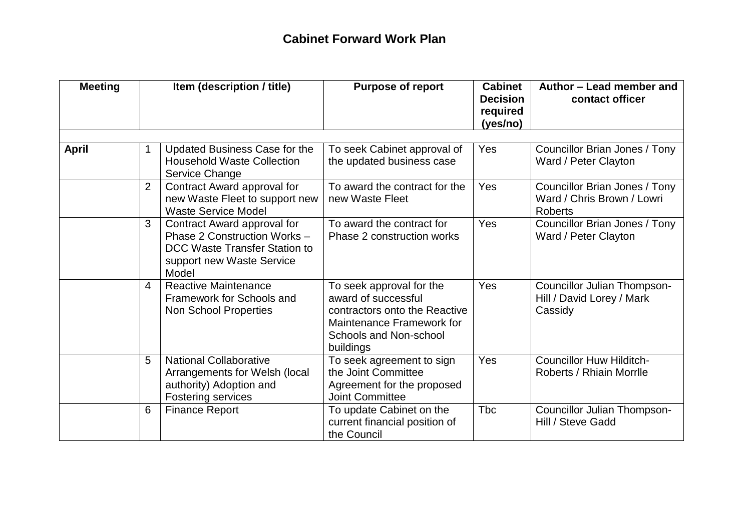## **Cabinet Forward Work Plan**

| <b>Meeting</b><br>Item (description / title) |                |                                                                                                                                    | <b>Purpose of report</b>                                                                                                                             | <b>Cabinet</b><br><b>Decision</b><br>required<br>(yes/no) | Author - Lead member and<br>contact officer                                   |  |
|----------------------------------------------|----------------|------------------------------------------------------------------------------------------------------------------------------------|------------------------------------------------------------------------------------------------------------------------------------------------------|-----------------------------------------------------------|-------------------------------------------------------------------------------|--|
| <b>April</b>                                 |                | Updated Business Case for the<br><b>Household Waste Collection</b><br>Service Change                                               | To seek Cabinet approval of<br>the updated business case                                                                                             | Yes                                                       | Councillor Brian Jones / Tony<br>Ward / Peter Clayton                         |  |
|                                              | $\overline{2}$ | Contract Award approval for<br>new Waste Fleet to support new<br><b>Waste Service Model</b>                                        | To award the contract for the<br>new Waste Fleet                                                                                                     | Yes                                                       | Councillor Brian Jones / Tony<br>Ward / Chris Brown / Lowri<br><b>Roberts</b> |  |
|                                              | 3              | Contract Award approval for<br>Phase 2 Construction Works -<br>DCC Waste Transfer Station to<br>support new Waste Service<br>Model | To award the contract for<br>Phase 2 construction works                                                                                              | Yes                                                       | Councillor Brian Jones / Tony<br>Ward / Peter Clayton                         |  |
|                                              | 4              | <b>Reactive Maintenance</b><br>Framework for Schools and<br><b>Non School Properties</b>                                           | To seek approval for the<br>award of successful<br>contractors onto the Reactive<br>Maintenance Framework for<br>Schools and Non-school<br>buildings | Yes                                                       | <b>Councillor Julian Thompson-</b><br>Hill / David Lorey / Mark<br>Cassidy    |  |
|                                              | 5              | <b>National Collaborative</b><br>Arrangements for Welsh (local<br>authority) Adoption and<br><b>Fostering services</b>             | To seek agreement to sign<br>the Joint Committee<br>Agreement for the proposed<br><b>Joint Committee</b>                                             | Yes                                                       | <b>Councillor Huw Hilditch-</b><br>Roberts / Rhiain Morrlle                   |  |
|                                              | 6              | <b>Finance Report</b>                                                                                                              | To update Cabinet on the<br>current financial position of<br>the Council                                                                             | <b>Tbc</b>                                                | <b>Councillor Julian Thompson-</b><br>Hill / Steve Gadd                       |  |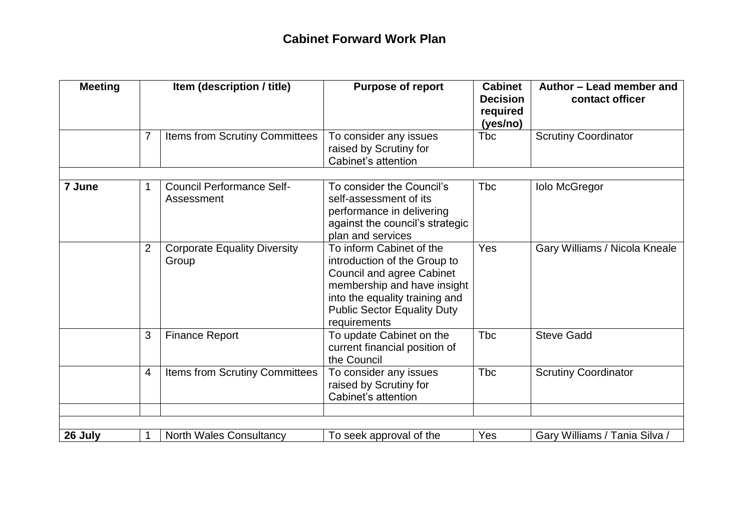## **Cabinet Forward Work Plan**

| <b>Meeting</b> |                | Item (description / title)                     | <b>Purpose of report</b>                                                                                                                                                                                            | <b>Cabinet</b><br><b>Decision</b><br>required<br>(yes/no) | Author - Lead member and<br>contact officer |  |
|----------------|----------------|------------------------------------------------|---------------------------------------------------------------------------------------------------------------------------------------------------------------------------------------------------------------------|-----------------------------------------------------------|---------------------------------------------|--|
|                |                | Items from Scrutiny Committees                 | To consider any issues<br>raised by Scrutiny for<br>Cabinet's attention                                                                                                                                             | <b>Tbc</b>                                                | <b>Scrutiny Coordinator</b>                 |  |
| 7 June         |                | <b>Council Performance Self-</b><br>Assessment | To consider the Council's<br>self-assessment of its<br>performance in delivering<br>against the council's strategic<br>plan and services                                                                            | <b>Tbc</b>                                                | <b>Iolo McGregor</b>                        |  |
|                | $\overline{2}$ | <b>Corporate Equality Diversity</b><br>Group   | To inform Cabinet of the<br>introduction of the Group to<br><b>Council and agree Cabinet</b><br>membership and have insight<br>into the equality training and<br><b>Public Sector Equality Duty</b><br>requirements | Yes                                                       | Gary Williams / Nicola Kneale               |  |
|                | 3              | <b>Finance Report</b>                          | To update Cabinet on the<br>current financial position of<br>the Council                                                                                                                                            | <b>T</b> bc                                               | <b>Steve Gadd</b>                           |  |
|                | 4              | Items from Scrutiny Committees                 | To consider any issues<br>raised by Scrutiny for<br>Cabinet's attention                                                                                                                                             | <b>T</b> bc                                               | <b>Scrutiny Coordinator</b>                 |  |
|                |                |                                                |                                                                                                                                                                                                                     |                                                           |                                             |  |
| 26 July        |                | <b>North Wales Consultancy</b>                 | To seek approval of the                                                                                                                                                                                             | Yes                                                       | Gary Williams / Tania Silva /               |  |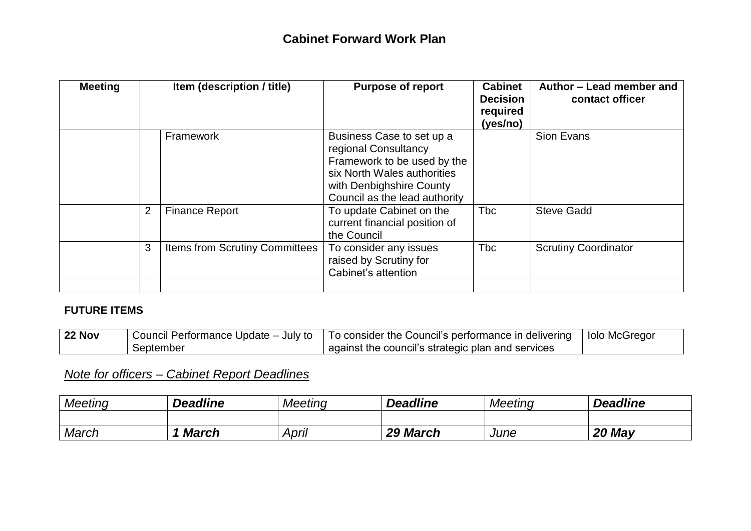| <b>Meeting</b> | Item (description / title)            | <b>Purpose of report</b>                                                                                                                                                     | <b>Cabinet</b><br><b>Decision</b><br>required<br>(yes/no) | Author - Lead member and<br>contact officer |
|----------------|---------------------------------------|------------------------------------------------------------------------------------------------------------------------------------------------------------------------------|-----------------------------------------------------------|---------------------------------------------|
|                | Framework                             | Business Case to set up a<br>regional Consultancy<br>Framework to be used by the<br>six North Wales authorities<br>with Denbighshire County<br>Council as the lead authority |                                                           | Sion Evans                                  |
| $\overline{2}$ | <b>Finance Report</b>                 | To update Cabinet on the<br>current financial position of<br>the Council                                                                                                     | <b>Tbc</b>                                                | <b>Steve Gadd</b>                           |
| 3              | <b>Items from Scrutiny Committees</b> | To consider any issues<br>raised by Scrutiny for<br>Cabinet's attention                                                                                                      | <b>Tbc</b>                                                | <b>Scrutiny Coordinator</b>                 |

#### **FUTURE ITEMS**

| 22 Nov |           | Council Performance Update – July to   To consider the Council's performance in delivering   Iolo McGregor |  |
|--------|-----------|------------------------------------------------------------------------------------------------------------|--|
|        | September | against the council's strategic plan and services                                                          |  |

# *Note for officers – Cabinet Report Deadlines*

| <b>Meeting</b> | <b>Deadline</b> | Meeting | <b>Deadline</b> | Meeting | <b>Deadline</b> |
|----------------|-----------------|---------|-----------------|---------|-----------------|
|                |                 |         |                 |         |                 |
| March          | <b>March</b>    | April   | 29 March        | June    | 20 May          |